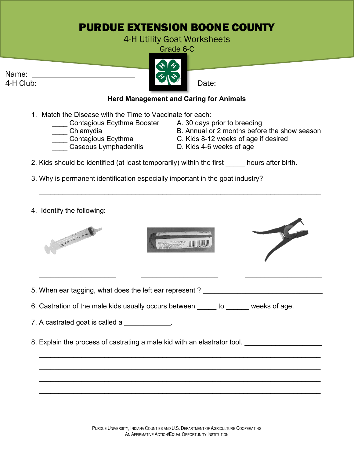## PURDUE EXTENSION BOONE COUNTY

4-H Utility Goat Worksheets

Grade 6-C



4. Identify the following:





 $\overline{\phantom{a}}$  , and the contract of the contract of the contract of the contract of the contract of the contract of the contract of the contract of the contract of the contract of the contract of the contract of the contrac

\_\_\_\_\_\_\_\_\_\_\_\_\_\_\_\_\_\_\_\_\_\_\_\_\_\_\_\_\_\_\_\_\_\_\_\_\_\_\_\_\_\_\_\_\_\_\_\_\_\_\_\_\_\_\_\_\_\_\_\_\_\_\_\_\_\_\_\_\_\_\_\_\_

\_\_\_\_\_\_\_\_\_\_\_\_\_\_\_\_\_\_\_\_\_\_\_\_\_\_\_\_\_\_\_\_\_\_\_\_\_\_\_\_\_\_\_\_\_\_\_\_\_\_\_\_\_\_\_\_\_\_\_\_\_\_\_\_\_\_\_\_\_\_\_\_\_

\_\_\_\_\_\_\_\_\_\_\_\_\_\_\_\_\_\_\_\_\_\_\_\_\_\_\_\_\_\_\_\_\_\_\_\_\_\_\_\_\_\_\_\_\_\_\_\_\_\_\_\_\_\_\_\_\_\_\_\_\_\_\_\_\_\_\_\_\_\_\_\_\_

\_\_\_\_\_\_\_\_\_\_\_\_\_\_\_\_\_\_\_\_\_\_\_\_\_\_\_\_\_\_\_\_\_\_\_\_\_\_\_\_\_\_\_\_\_\_\_\_\_\_\_\_\_\_\_\_\_\_\_\_\_\_\_\_\_\_\_\_\_\_\_\_\_



5. When ear tagging, what does the left ear represent ?

6. Castration of the male kids usually occurs between \_\_\_\_\_ to \_\_\_\_\_\_ weeks of age.

7. A castrated goat is called a

8. Explain the process of castrating a male kid with an elastrator tool.